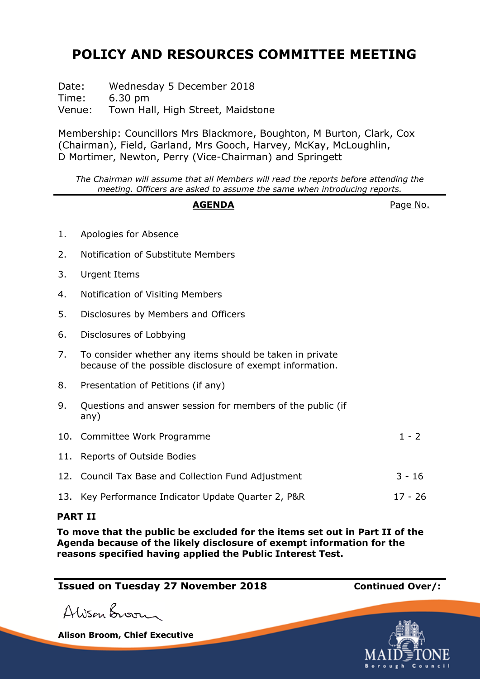# **POLICY AND RESOURCES COMMITTEE MEETING**

Date: Wednesday 5 December 2018 Time: 6.30 pm Venue: Town Hall, High Street, Maidstone

Membership: Councillors Mrs Blackmore, Boughton, M Burton, Clark, Cox (Chairman), Field, Garland, Mrs Gooch, Harvey, McKay, McLoughlin, D Mortimer, Newton, Perry (Vice-Chairman) and Springett

*The Chairman will assume that all Members will read the reports before attending the meeting. Officers are asked to assume the same when introducing reports.*

## **AGENDA** Page No.

- 1. Apologies for Absence
- 2. Notification of Substitute Members
- 3. Urgent Items
- 4. Notification of Visiting Members
- 5. Disclosures by Members and Officers
- 6. Disclosures of Lobbying
- 7. To consider whether any items should be taken in private because of the possible disclosure of exempt information.
- 8. Presentation of Petitions (if any)
- 9. Questions and answer session for members of the public (if any)
- 10. Committee Work Programme 1 2 11. Reports of Outside Bodies 12. Council Tax Base and Collection Fund Adjustment 3 - 16 13. Key Performance Indicator Update Quarter 2, P&R 17 - 26

## **PART II**

**To move that the public be excluded for the items set out in Part II of the Agenda because of the likely disclosure of exempt information for the reasons specified having applied the Public Interest Test.**

# **Issued on Tuesday 27 November 2018 Continued Over/:**

Alison Broom

**Alison Broom, Chief Executive**